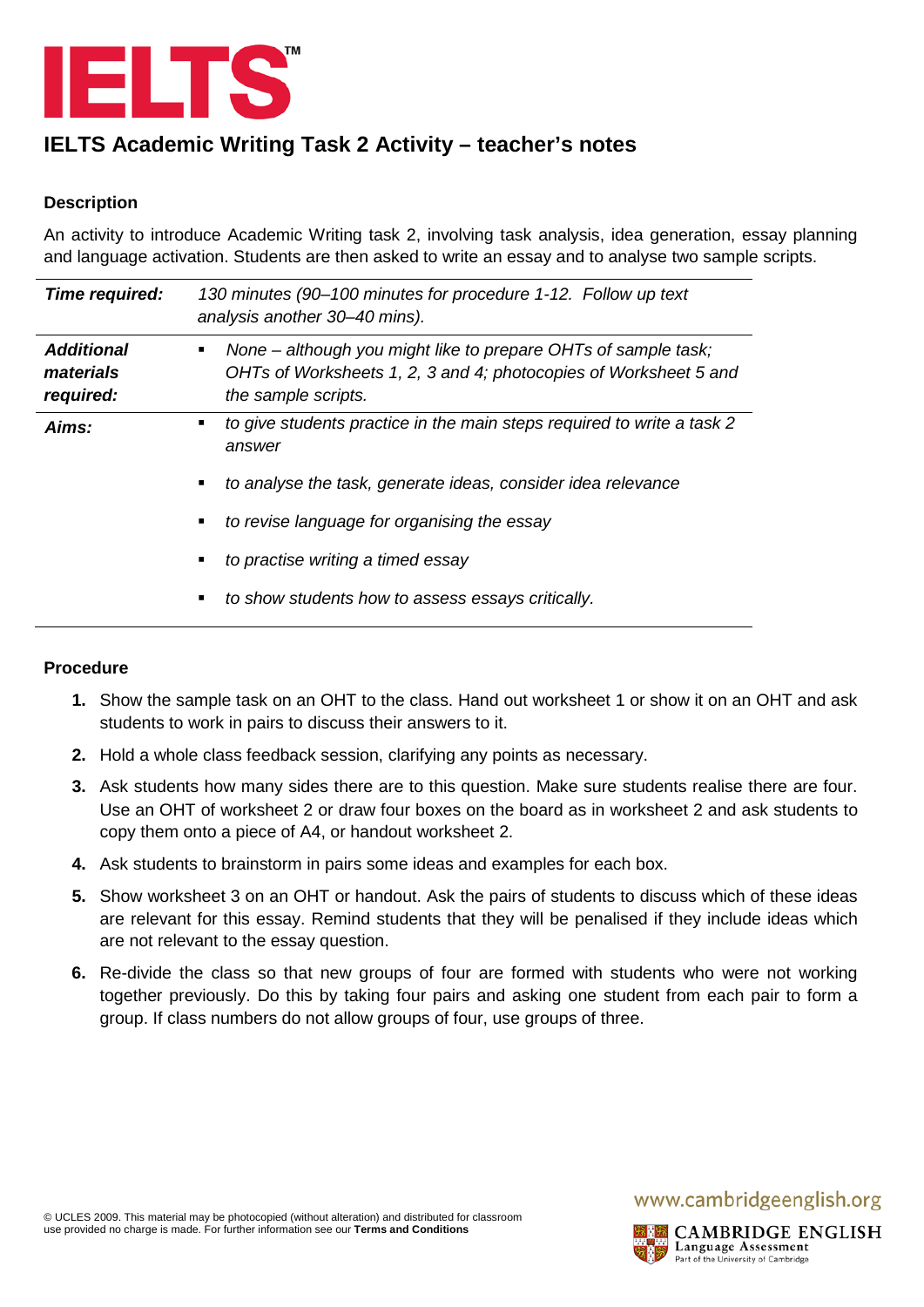

# **IELTS Academic Writing Task 2 Activity – teacher's notes**

#### **Description**

An activity to introduce Academic Writing task 2, involving task analysis, idea generation, essay planning and language activation. Students are then asked to write an essay and to analyse two sample scripts.

| Time required:                              | 130 minutes (90–100 minutes for procedure 1-12. Follow up text<br>analysis another 30–40 mins).                                                           |  |
|---------------------------------------------|-----------------------------------------------------------------------------------------------------------------------------------------------------------|--|
| <b>Additional</b><br>materials<br>required: | None – although you might like to prepare OHTs of sample task;<br>OHTs of Worksheets 1, 2, 3 and 4; photocopies of Worksheet 5 and<br>the sample scripts. |  |
| Aims:                                       | to give students practice in the main steps required to write a task 2<br>answer                                                                          |  |
|                                             | to analyse the task, generate ideas, consider idea relevance                                                                                              |  |
|                                             | to revise language for organising the essay                                                                                                               |  |
|                                             | to practise writing a timed essay                                                                                                                         |  |
|                                             | to show students how to assess essays critically.<br>٠                                                                                                    |  |

#### **Procedure**

- **1.** Show the sample task on an OHT to the class. Hand out worksheet 1 or show it on an OHT and ask students to work in pairs to discuss their answers to it.
- **2.** Hold a whole class feedback session, clarifying any points as necessary.
- **3.** Ask students how many sides there are to this question. Make sure students realise there are four. Use an OHT of worksheet 2 or draw four boxes on the board as in worksheet 2 and ask students to copy them onto a piece of A4, or handout worksheet 2.
- **4.** Ask students to brainstorm in pairs some ideas and examples for each box.
- **5.** Show worksheet 3 on an OHT or handout. Ask the pairs of students to discuss which of these ideas are relevant for this essay. Remind students that they will be penalised if they include ideas which are not relevant to the essay question.
- **6.** Re-divide the class so that new groups of four are formed with students who were not working together previously. Do this by taking four pairs and asking one student from each pair to form a group. If class numbers do not allow groups of four, use groups of three.

### www.cambridgeenglish.org

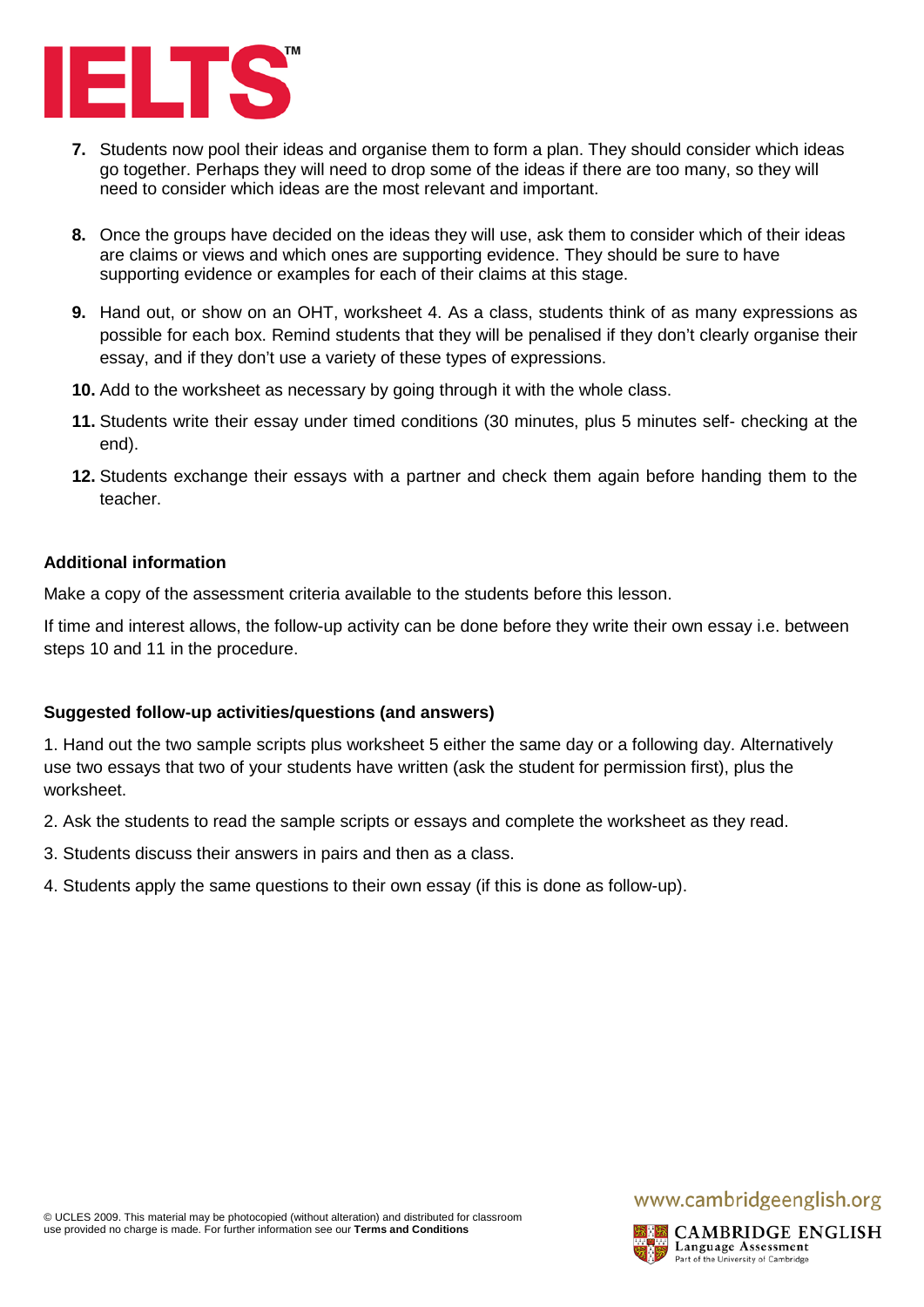

- **7.** Students now pool their ideas and organise them to form a plan. They should consider which ideas go together. Perhaps they will need to drop some of the ideas if there are too many, so they will need to consider which ideas are the most relevant and important.
- **8.** Once the groups have decided on the ideas they will use, ask them to consider which of their ideas are claims or views and which ones are supporting evidence. They should be sure to have supporting evidence or examples for each of their claims at this stage.
- **9.** Hand out, or show on an OHT, worksheet 4. As a class, students think of as many expressions as possible for each box. Remind students that they will be penalised if they don't clearly organise their essay, and if they don't use a variety of these types of expressions.
- **10.** Add to the worksheet as necessary by going through it with the whole class.
- **11.** Students write their essay under timed conditions (30 minutes, plus 5 minutes self- checking at the end).
- **12.** Students exchange their essays with a partner and check them again before handing them to the teacher.

#### **Additional information**

Make a copy of the assessment criteria available to the students before this lesson.

If time and interest allows, the follow-up activity can be done before they write their own essay i.e. between steps 10 and 11 in the procedure.

#### **Suggested follow-up activities/questions (and answers)**

1. Hand out the two sample scripts plus worksheet 5 either the same day or a following day. Alternatively use two essays that two of your students have written (ask the student for permission first), plus the worksheet.

- 2. Ask the students to read the sample scripts or essays and complete the worksheet as they read.
- 3. Students discuss their answers in pairs and then as a class.
- 4. Students apply the same questions to their own essay (if this is done as follow-up).

## www.cambridgeenglish.org

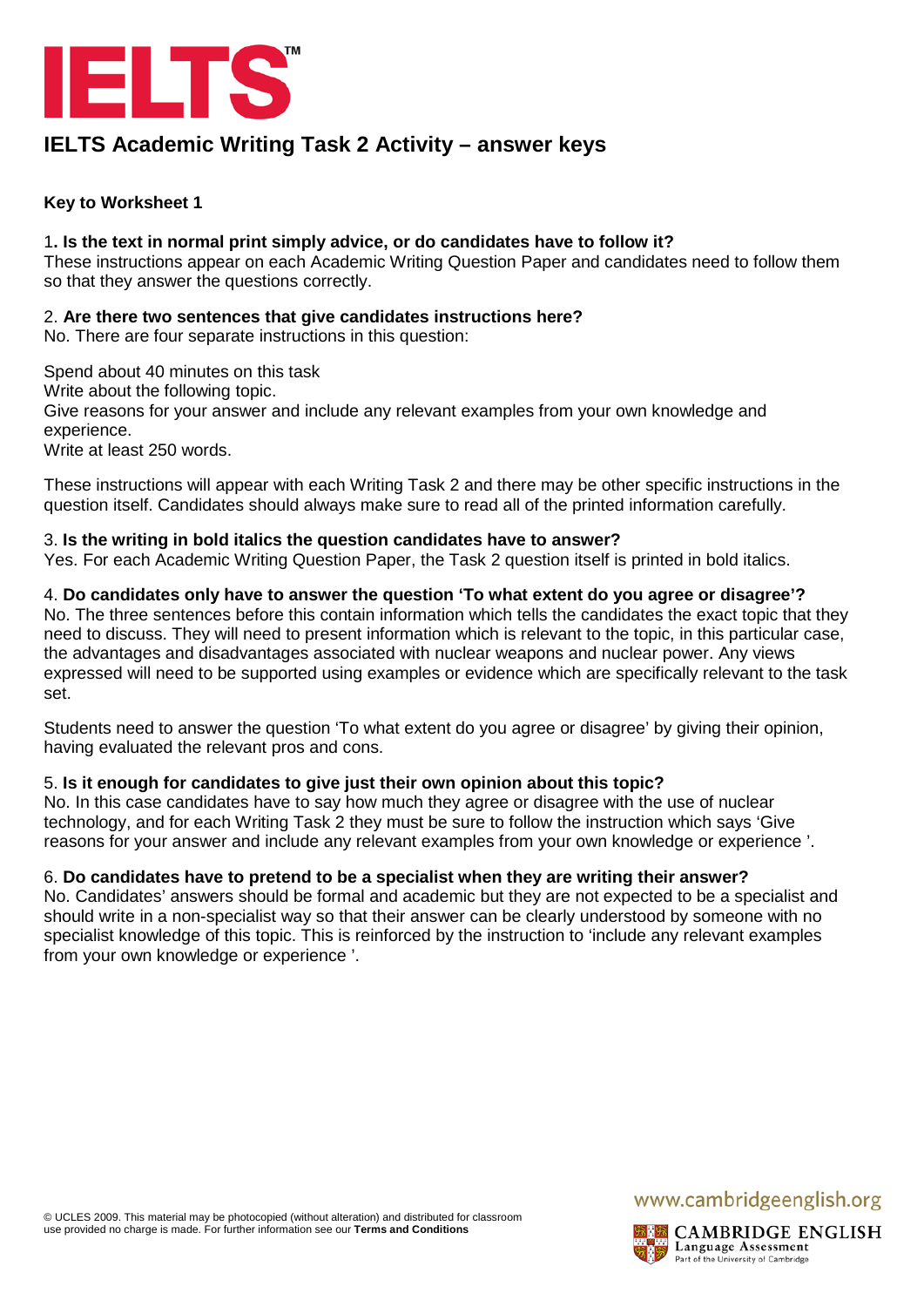

## **IELTS Academic Writing Task 2 Activity – answer keys**

#### **Key to Worksheet 1**

#### 1**. Is the text in normal print simply advice, or do candidates have to follow it?**

These instructions appear on each Academic Writing Question Paper and candidates need to follow them so that they answer the questions correctly.

#### 2. **Are there two sentences that give candidates instructions here?**

No. There are four separate instructions in this question:

Spend about 40 minutes on this task

Write about the following topic.

Give reasons for your answer and include any relevant examples from your own knowledge and experience.

Write at least 250 words.

These instructions will appear with each Writing Task 2 and there may be other specific instructions in the question itself. Candidates should always make sure to read all of the printed information carefully.

#### 3. **Is the writing in bold italics the question candidates have to answer?**

Yes. For each Academic Writing Question Paper, the Task 2 question itself is printed in bold italics.

#### 4. **Do candidates only have to answer the question 'To what extent do you agree or disagree'?**

No. The three sentences before this contain information which tells the candidates the exact topic that they need to discuss. They will need to present information which is relevant to the topic, in this particular case, the advantages and disadvantages associated with nuclear weapons and nuclear power. Any views expressed will need to be supported using examples or evidence which are specifically relevant to the task set.

Students need to answer the question 'To what extent do you agree or disagree' by giving their opinion, having evaluated the relevant pros and cons.

#### 5. **Is it enough for candidates to give just their own opinion about this topic?**

No. In this case candidates have to say how much they agree or disagree with the use of nuclear technology, and for each Writing Task 2 they must be sure to follow the instruction which says 'Give reasons for your answer and include any relevant examples from your own knowledge or experience '.

#### 6. **Do candidates have to pretend to be a specialist when they are writing their answer?**

No. Candidates' answers should be formal and academic but they are not expected to be a specialist and should write in a non-specialist way so that their answer can be clearly understood by someone with no specialist knowledge of this topic. This is reinforced by the instruction to 'include any relevant examples from your own knowledge or experience '.

## www.cambridgeenglish.org

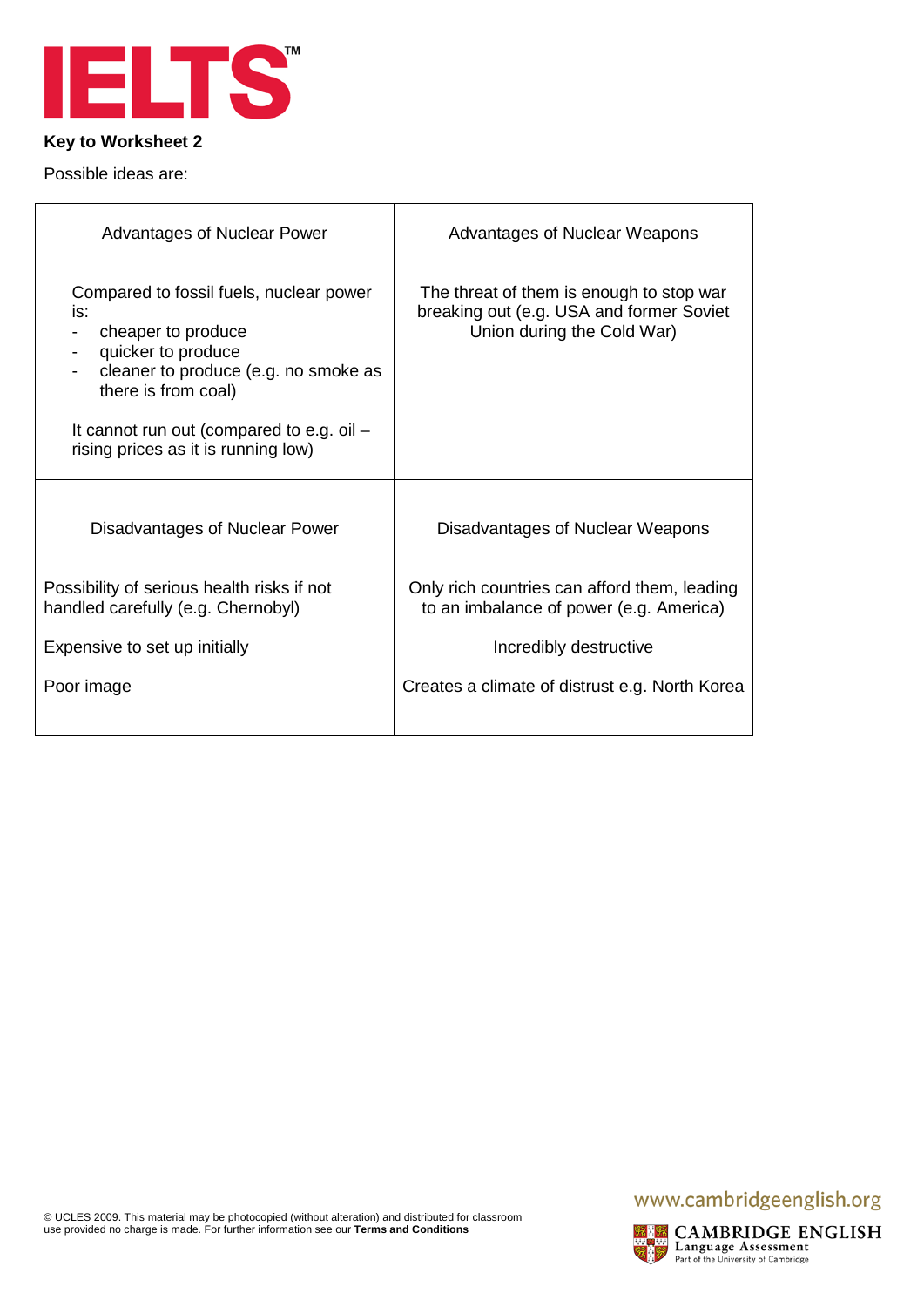

Possible ideas are:

| <b>Advantages of Nuclear Power</b>                                                                                                                                                                                                            | Advantages of Nuclear Weapons                                                                                      |
|-----------------------------------------------------------------------------------------------------------------------------------------------------------------------------------------------------------------------------------------------|--------------------------------------------------------------------------------------------------------------------|
| Compared to fossil fuels, nuclear power<br>is:<br>cheaper to produce<br>quicker to produce<br>cleaner to produce (e.g. no smoke as<br>there is from coal)<br>It cannot run out (compared to e.g. oil -<br>rising prices as it is running low) | The threat of them is enough to stop war<br>breaking out (e.g. USA and former Soviet<br>Union during the Cold War) |
| Disadvantages of Nuclear Power                                                                                                                                                                                                                | Disadvantages of Nuclear Weapons                                                                                   |
| Possibility of serious health risks if not<br>handled carefully (e.g. Chernobyl)                                                                                                                                                              | Only rich countries can afford them, leading<br>to an imbalance of power (e.g. America)                            |
| Expensive to set up initially                                                                                                                                                                                                                 | Incredibly destructive                                                                                             |
| Poor image                                                                                                                                                                                                                                    | Creates a climate of distrust e.g. North Korea                                                                     |

© UCLES 2009. This material may be photocopied (without alteration) and distributed for classroom use provided no charge is made. For further information see our **Terms [and Conditions](http://www.cambridgeenglish.org/footer/terms-and-conditions/)**

## www.cambridgeenglish.org

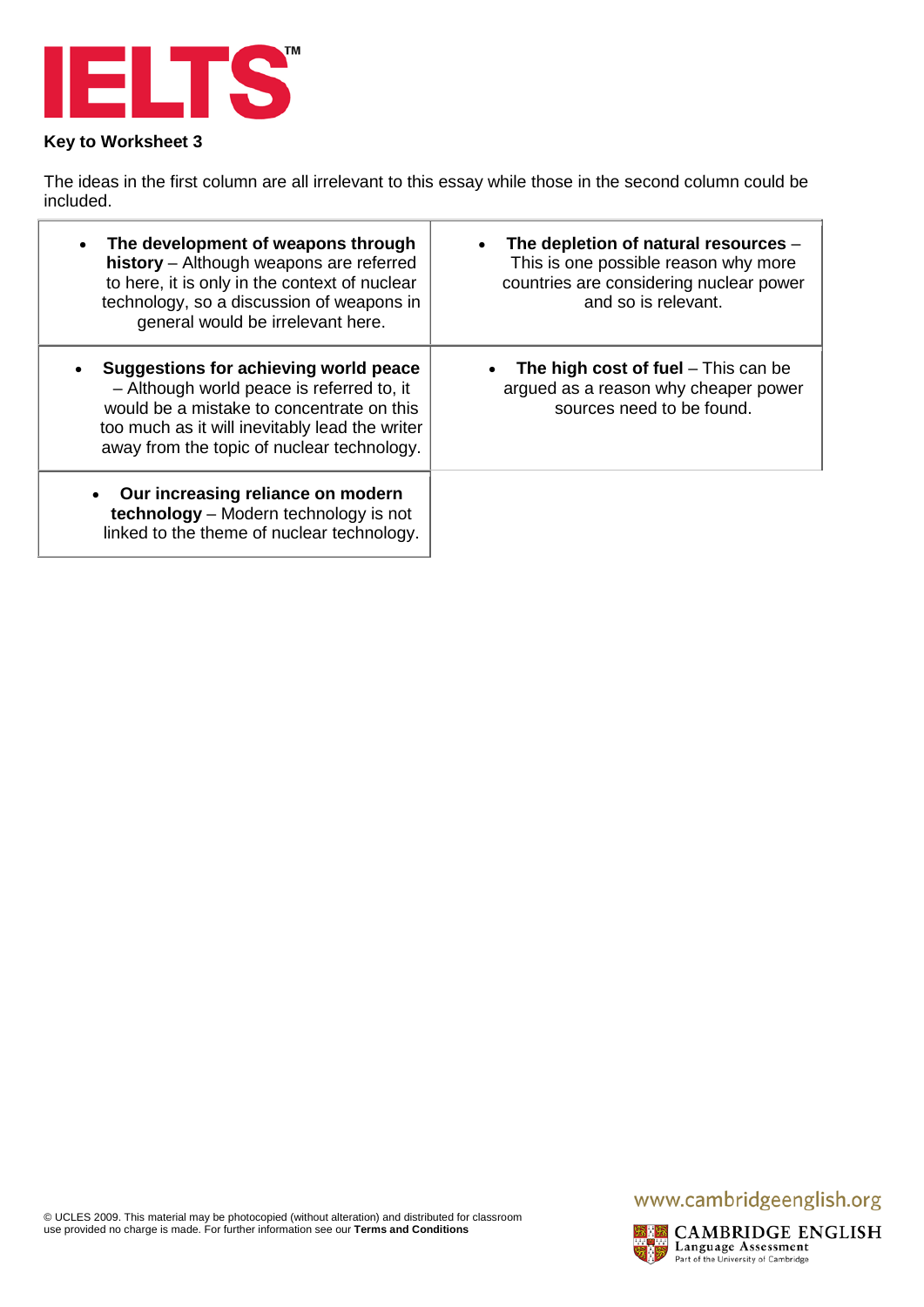

The ideas in the first column are all irrelevant to this essay while those in the second column could be included.

| The development of weapons through<br>history - Although weapons are referred<br>to here, it is only in the context of nuclear<br>technology, so a discussion of weapons in<br>general would be irrelevant here.                | The depletion of natural resources -<br>This is one possible reason why more<br>countries are considering nuclear power<br>and so is relevant. |
|---------------------------------------------------------------------------------------------------------------------------------------------------------------------------------------------------------------------------------|------------------------------------------------------------------------------------------------------------------------------------------------|
| Suggestions for achieving world peace<br>- Although world peace is referred to, it<br>would be a mistake to concentrate on this<br>too much as it will inevitably lead the writer<br>away from the topic of nuclear technology. | The high cost of fuel $-$ This can be<br>argued as a reason why cheaper power<br>sources need to be found.                                     |
| Our increasing reliance on modern<br>technology - Modern technology is not<br>linked to the theme of nuclear technology.                                                                                                        |                                                                                                                                                |

## www.cambridgeenglish.org

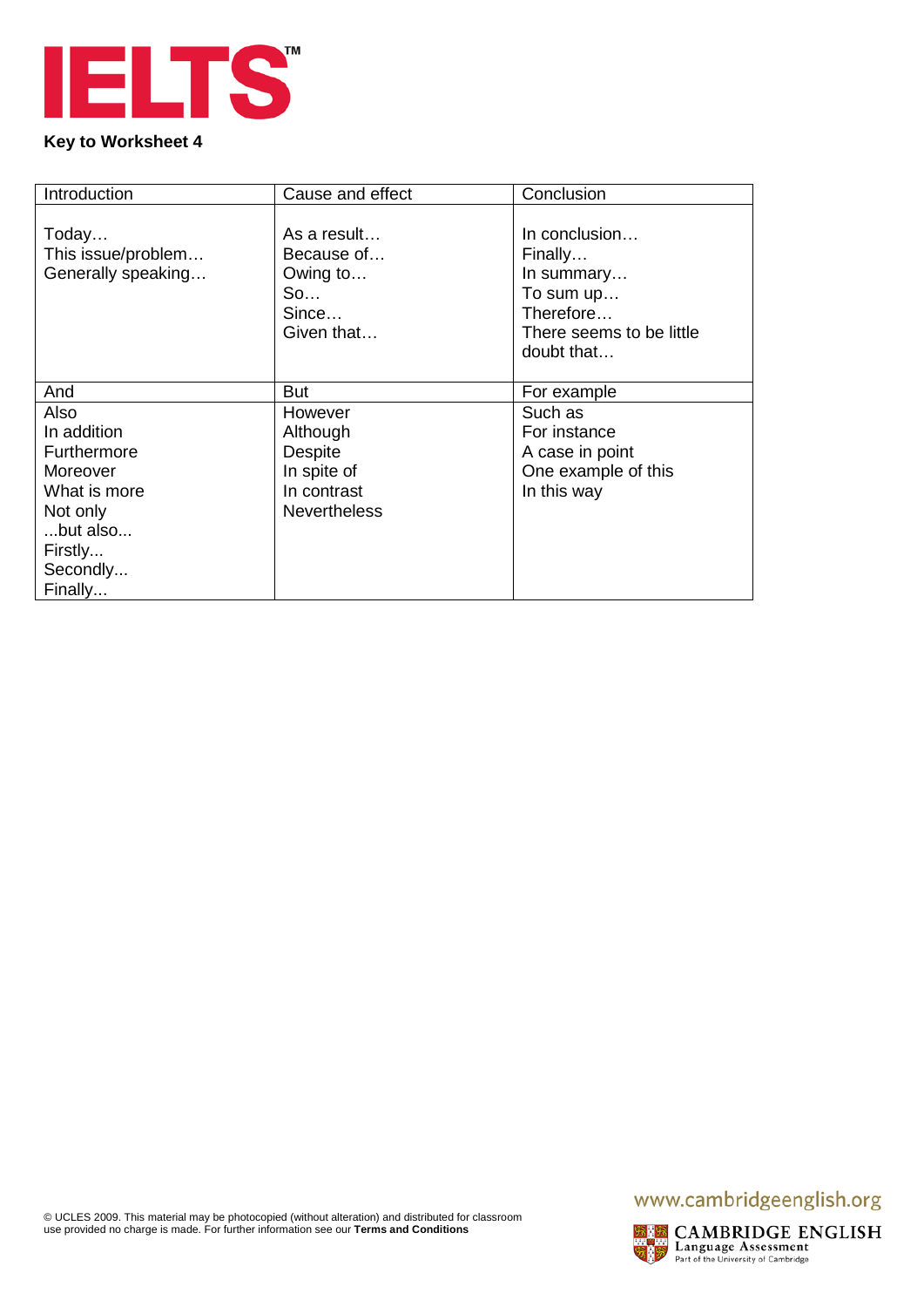

| Introduction       | Cause and effect    | Conclusion               |
|--------------------|---------------------|--------------------------|
|                    |                     |                          |
| Today              | As a result         | In conclusion            |
| This issue/problem | Because of          | Finally                  |
| Generally speaking | Owing to            | In summary               |
|                    | So                  | To sum up                |
|                    | Since               | Therefore                |
|                    | Given that          | There seems to be little |
|                    |                     | doubt that               |
|                    |                     |                          |
| And                | <b>But</b>          | For example              |
| Also               | However             | Such as                  |
| In addition        | Although            | For instance             |
| Furthermore        | <b>Despite</b>      | A case in point          |
| Moreover           | In spite of         | One example of this      |
| What is more       | In contrast         | In this way              |
| Not only           | <b>Nevertheless</b> |                          |
| but also           |                     |                          |
| Firstly            |                     |                          |
| Secondly           |                     |                          |
| Finally            |                     |                          |

## www.cambridgeenglish.org



**EXPRESS CAMBRIDGE ENGLISH**<br>Language Assessment<br>Reflect of the University of Cambridge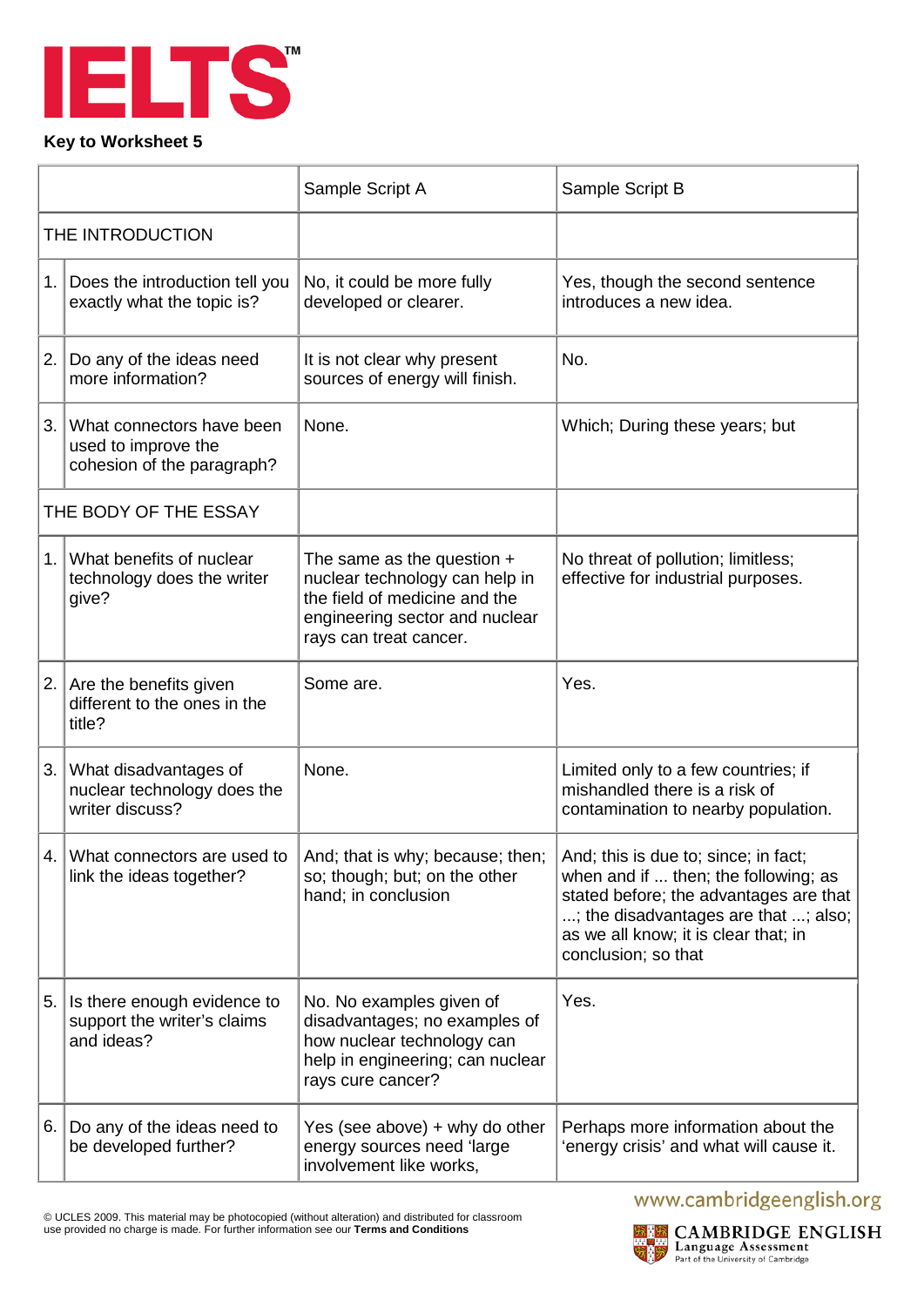

|                  |                                                                                | Sample Script A                                                                                                                                             | Sample Script B                                                                                                                                                                                                               |
|------------------|--------------------------------------------------------------------------------|-------------------------------------------------------------------------------------------------------------------------------------------------------------|-------------------------------------------------------------------------------------------------------------------------------------------------------------------------------------------------------------------------------|
| THE INTRODUCTION |                                                                                |                                                                                                                                                             |                                                                                                                                                                                                                               |
| 1.               | Does the introduction tell you<br>exactly what the topic is?                   | No, it could be more fully<br>developed or clearer.                                                                                                         | Yes, though the second sentence<br>introduces a new idea.                                                                                                                                                                     |
| 2.               | Do any of the ideas need<br>more information?                                  | It is not clear why present<br>sources of energy will finish.                                                                                               | No.                                                                                                                                                                                                                           |
| 3.               | What connectors have been<br>used to improve the<br>cohesion of the paragraph? | None.                                                                                                                                                       | Which; During these years; but                                                                                                                                                                                                |
|                  | THE BODY OF THE ESSAY                                                          |                                                                                                                                                             |                                                                                                                                                                                                                               |
| 1 <sub>1</sub>   | What benefits of nuclear<br>technology does the writer<br>give?                | The same as the question $+$<br>nuclear technology can help in<br>the field of medicine and the<br>engineering sector and nuclear<br>rays can treat cancer. | No threat of pollution; limitless;<br>effective for industrial purposes.                                                                                                                                                      |
| 2.               | Are the benefits given<br>different to the ones in the<br>title?               | Some are.                                                                                                                                                   | Yes.                                                                                                                                                                                                                          |
| 3.               | What disadvantages of<br>nuclear technology does the<br>writer discuss?        | None.                                                                                                                                                       | Limited only to a few countries; if<br>mishandled there is a risk of<br>contamination to nearby population.                                                                                                                   |
| 4.               | What connectors are used to<br>link the ideas together?                        | And; that is why; because; then;<br>so; though; but; on the other<br>hand; in conclusion                                                                    | And; this is due to; since; in fact;<br>when and if  then; the following; as<br>stated before; the advantages are that<br>; the disadvantages are that ; also;<br>as we all know; it is clear that; in<br>conclusion; so that |
| 5.               | Is there enough evidence to<br>support the writer's claims<br>and ideas?       | No. No examples given of<br>disadvantages; no examples of<br>how nuclear technology can<br>help in engineering; can nuclear<br>rays cure cancer?            | Yes.                                                                                                                                                                                                                          |
| 6.               | Do any of the ideas need to<br>be developed further?                           | Yes (see above) + why do other<br>energy sources need 'large<br>involvement like works,                                                                     | Perhaps more information about the<br>'energy crisis' and what will cause it.                                                                                                                                                 |

© UCLES 2009. This material may be photocopied (without alteration) and distributed for classroom use provided no charge is made. For further information see our **Terms [and Conditions](http://www.cambridgeenglish.org/footer/terms-and-conditions/)**

# www.cambridgeenglish.org



 $\begin{array}{l}\hbox{\bf CAMBRIDGE ENGLISH}\\ \hbox{\bf Language Assessment}\\ \hbox{\bf Part of the University of Cambridge}\\ \end{array}$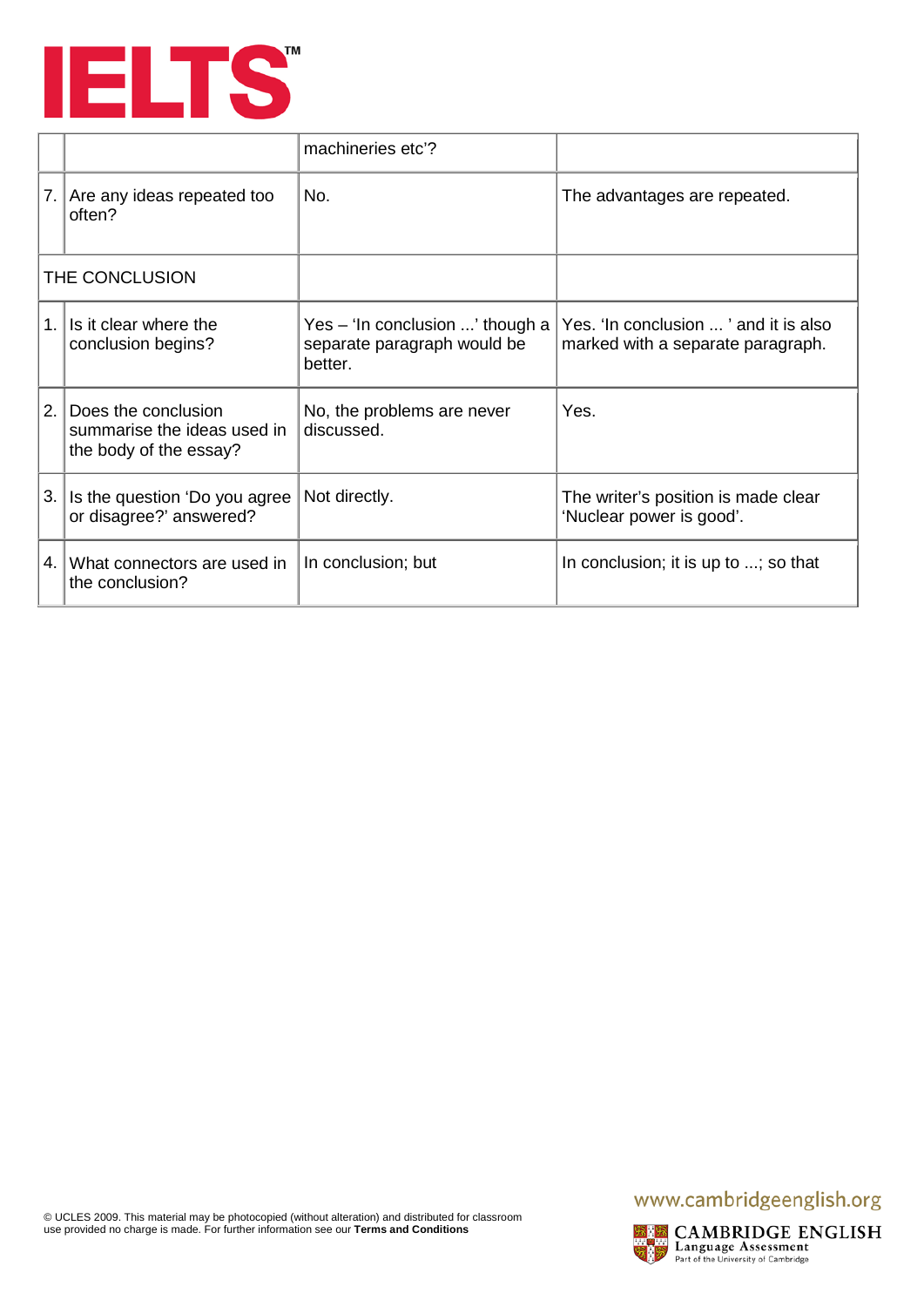

|                |                                                                              | machineries etc'?                                                         |                                                                           |
|----------------|------------------------------------------------------------------------------|---------------------------------------------------------------------------|---------------------------------------------------------------------------|
| 7.1            | Are any ideas repeated too<br>often?                                         | No.                                                                       | The advantages are repeated.                                              |
|                | THE CONCLUSION                                                               |                                                                           |                                                                           |
| 1 <sup>1</sup> | Is it clear where the<br>conclusion begins?                                  | Yes - 'In conclusion ' though a<br>separate paragraph would be<br>better. | Yes, 'In conclusion ' and it is also<br>marked with a separate paragraph. |
| 2.             | Does the conclusion<br>summarise the ideas used in<br>the body of the essay? | No, the problems are never<br>discussed.                                  | Yes.                                                                      |
| 3.             | Is the question 'Do you agree<br>or disagree?' answered?                     | Not directly.                                                             | The writer's position is made clear<br>'Nuclear power is good'.           |
| 4.1            | What connectors are used in<br>the conclusion?                               | In conclusion; but                                                        | In conclusion; it is up to ; so that                                      |

## www.cambridgeenglish.org



**EXPRESS CAMBRIDGE ENGLISH**<br>Language Assessment<br>Reflect of the University of Cambridge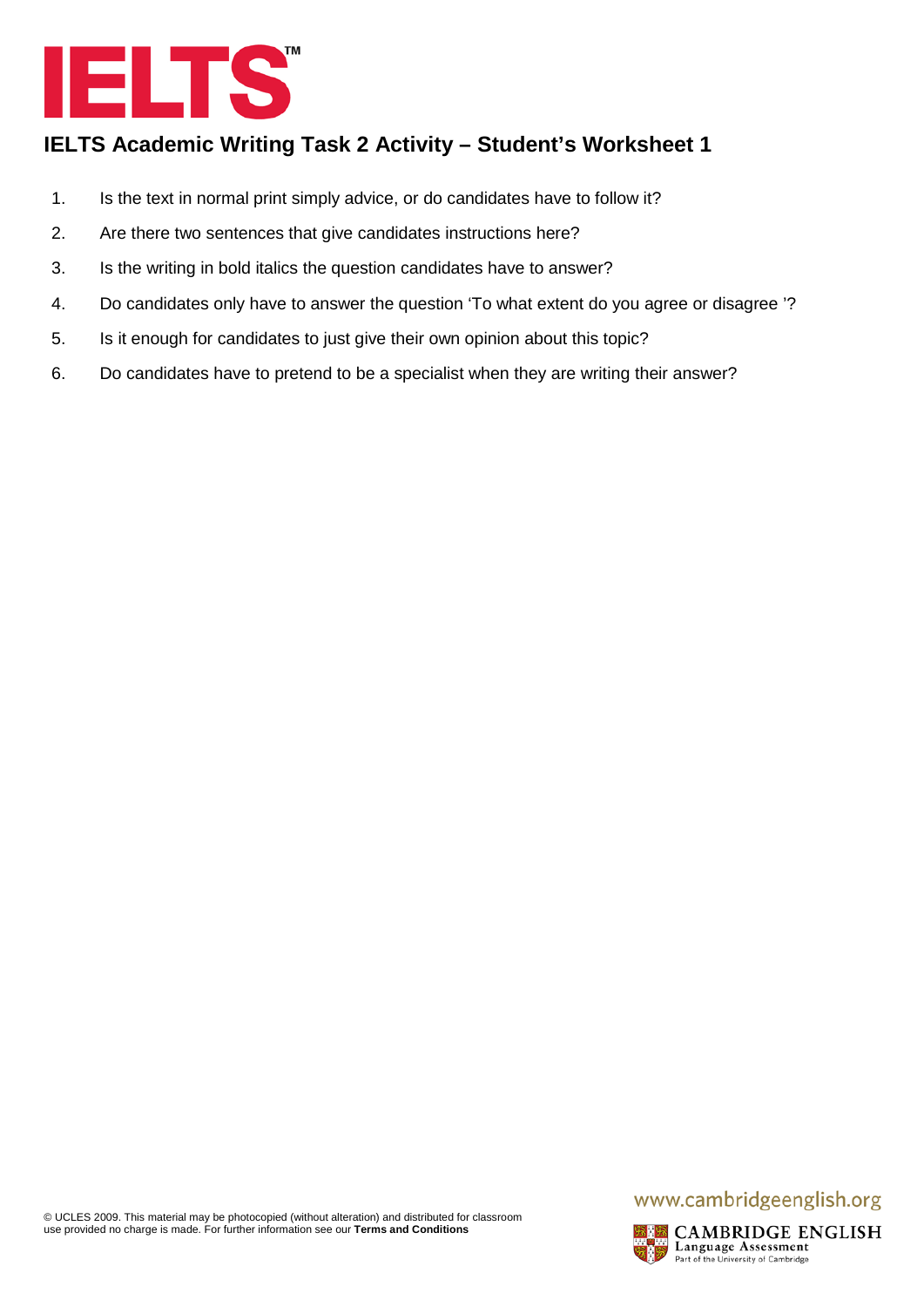

- 1. Is the text in normal print simply advice, or do candidates have to follow it?
- 2. Are there two sentences that give candidates instructions here?
- 3. Is the writing in bold italics the question candidates have to answer?
- 4. Do candidates only have to answer the question 'To what extent do you agree or disagree '?
- 5. Is it enough for candidates to just give their own opinion about this topic?
- 6. Do candidates have to pretend to be a specialist when they are writing their answer?

## www.cambridgeenglish.org

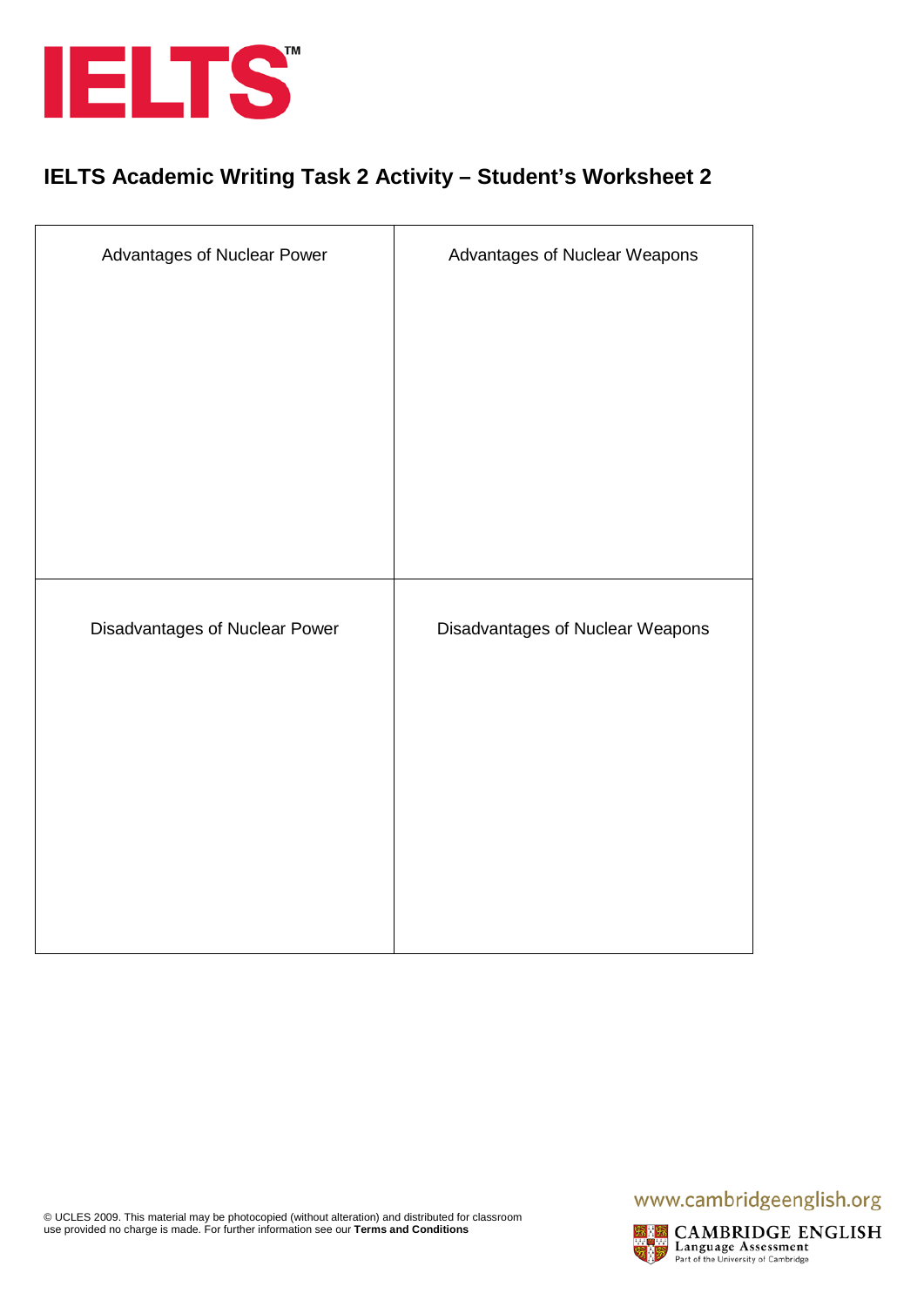

| Advantages of Nuclear Power    | Advantages of Nuclear Weapons    |
|--------------------------------|----------------------------------|
|                                |                                  |
|                                |                                  |
|                                |                                  |
|                                |                                  |
|                                |                                  |
| Disadvantages of Nuclear Power | Disadvantages of Nuclear Weapons |
|                                |                                  |
|                                |                                  |
|                                |                                  |
|                                |                                  |
|                                |                                  |

## www.cambridgeenglish.org

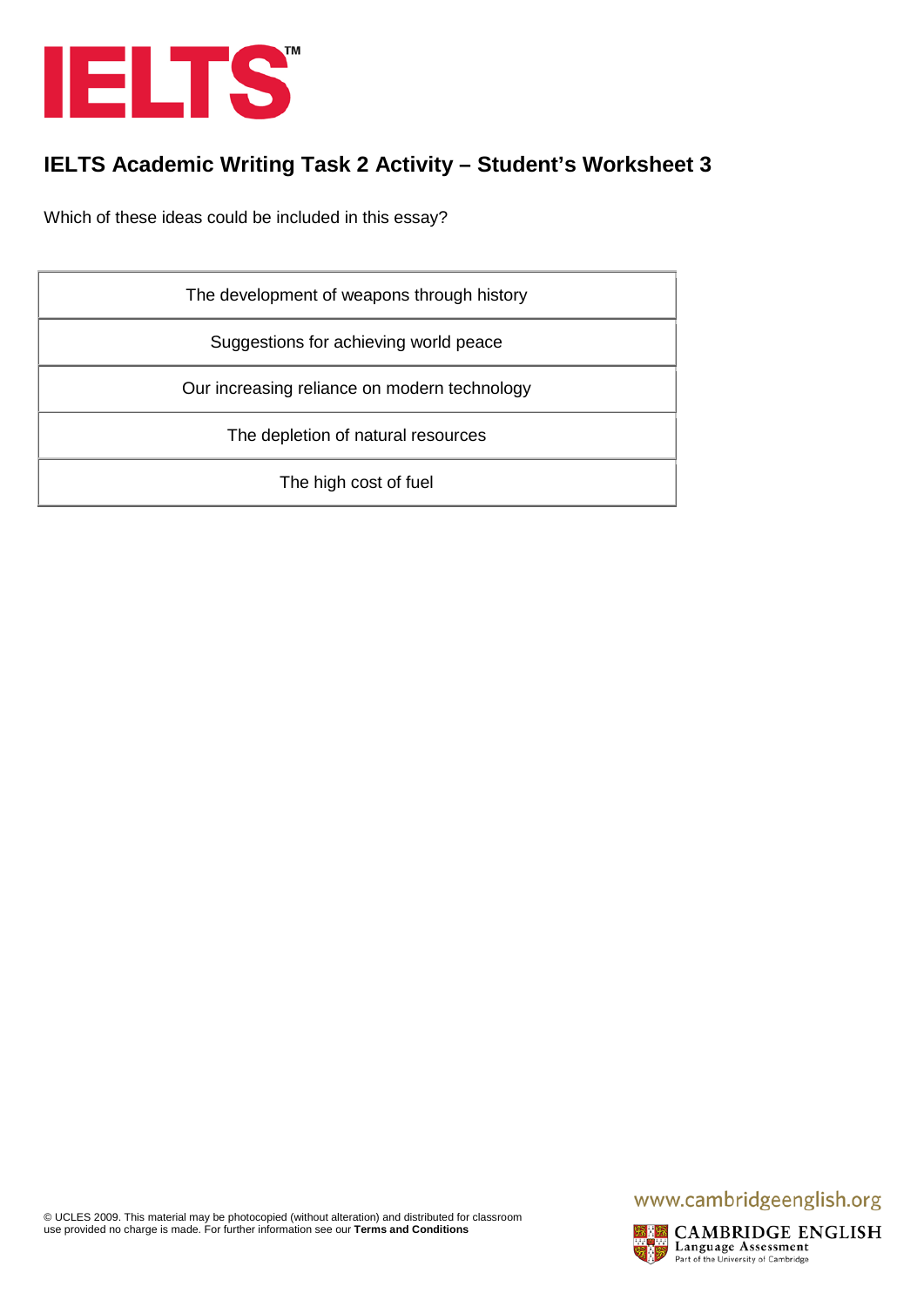

Which of these ideas could be included in this essay?

| The development of weapons through history   |
|----------------------------------------------|
| Suggestions for achieving world peace        |
| Our increasing reliance on modern technology |
| The depletion of natural resources           |
| The high cost of fuel                        |

## www.cambridgeenglish.org

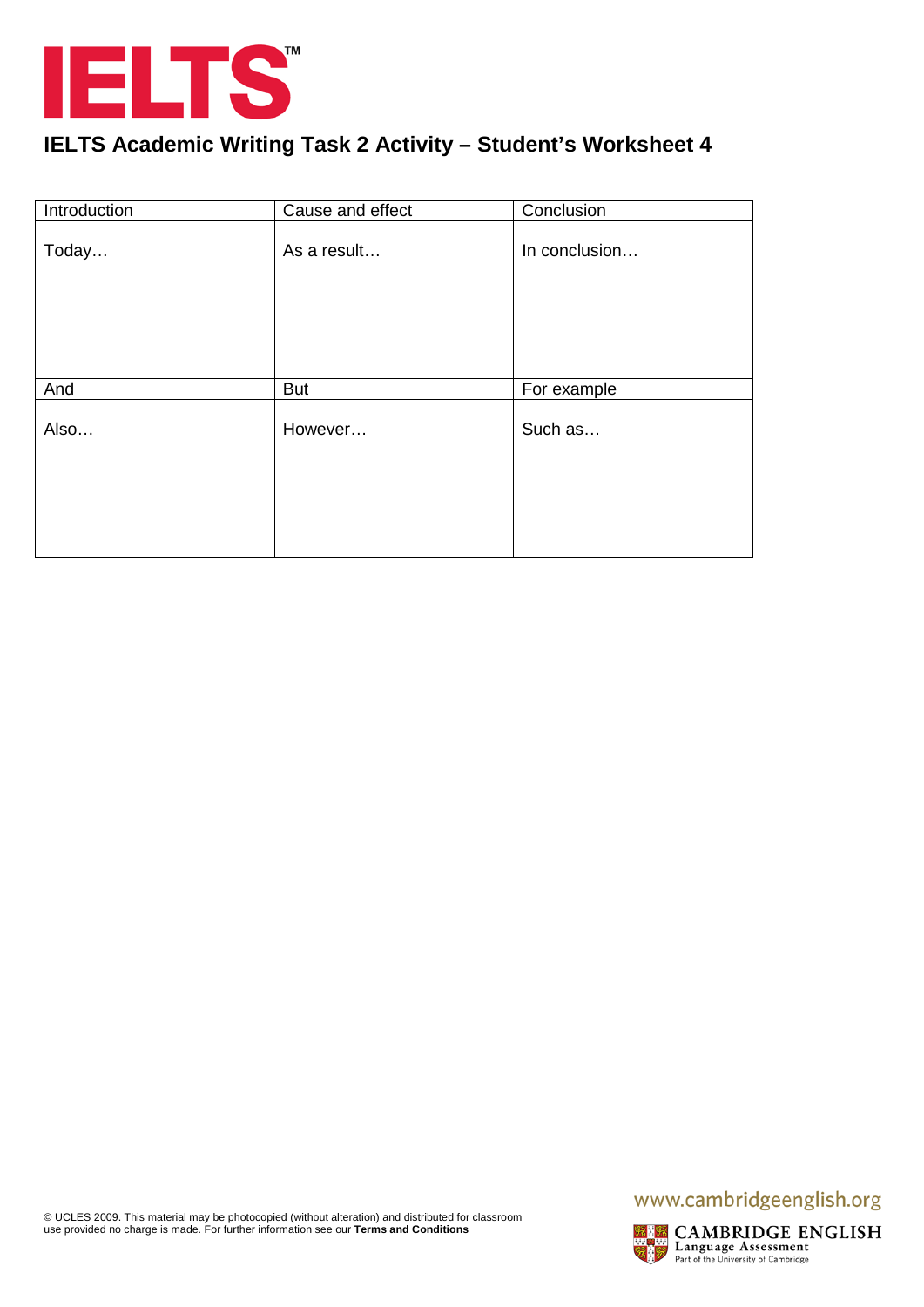

| Introduction | Cause and effect | Conclusion    |
|--------------|------------------|---------------|
| Today        | As a result      | In conclusion |
| And          | <b>But</b>       | For example   |
| Also         | However          | Such as       |
|              |                  |               |
|              |                  |               |

## www.cambridgeenglish.org

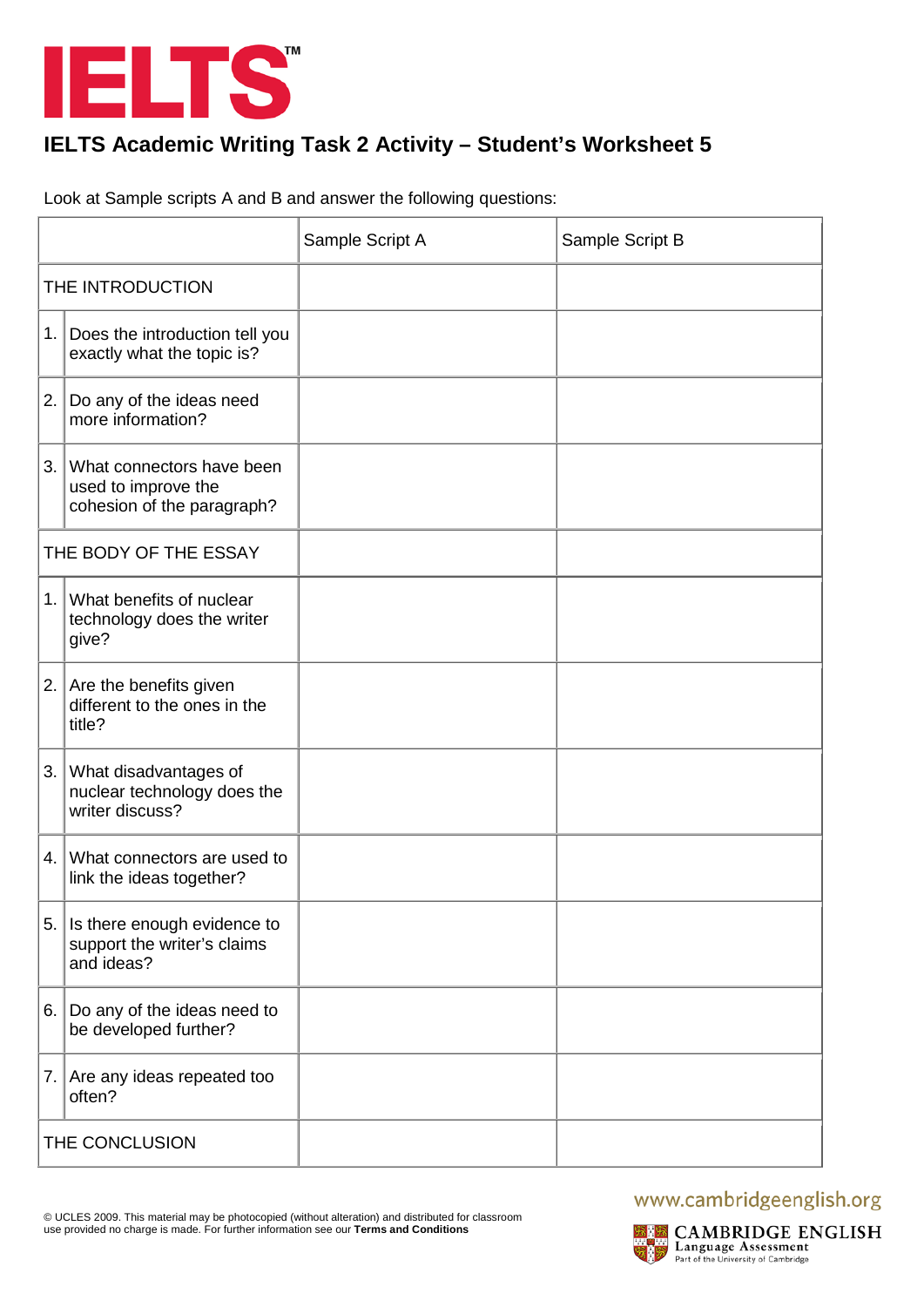

Look at Sample scripts A and B and answer the following questions:

|                  |                                                                                | Sample Script A | Sample Script B |
|------------------|--------------------------------------------------------------------------------|-----------------|-----------------|
| THE INTRODUCTION |                                                                                |                 |                 |
| 1.1              | Does the introduction tell you<br>exactly what the topic is?                   |                 |                 |
| 2.               | Do any of the ideas need<br>more information?                                  |                 |                 |
| 3.               | What connectors have been<br>used to improve the<br>cohesion of the paragraph? |                 |                 |
|                  | THE BODY OF THE ESSAY                                                          |                 |                 |
| 1.               | What benefits of nuclear<br>technology does the writer<br>give?                |                 |                 |
| 2.               | Are the benefits given<br>different to the ones in the<br>title?               |                 |                 |
| 3.               | What disadvantages of<br>nuclear technology does the<br>writer discuss?        |                 |                 |
| 4.               | What connectors are used to<br>link the ideas together?                        |                 |                 |
| 5.               | Is there enough evidence to<br>support the writer's claims<br>and ideas?       |                 |                 |
| 6.               | Do any of the ideas need to<br>be developed further?                           |                 |                 |
| 7.1              | Are any ideas repeated too<br>often?                                           |                 |                 |
| THE CONCLUSION   |                                                                                |                 |                 |

## www.cambridgeenglish.org

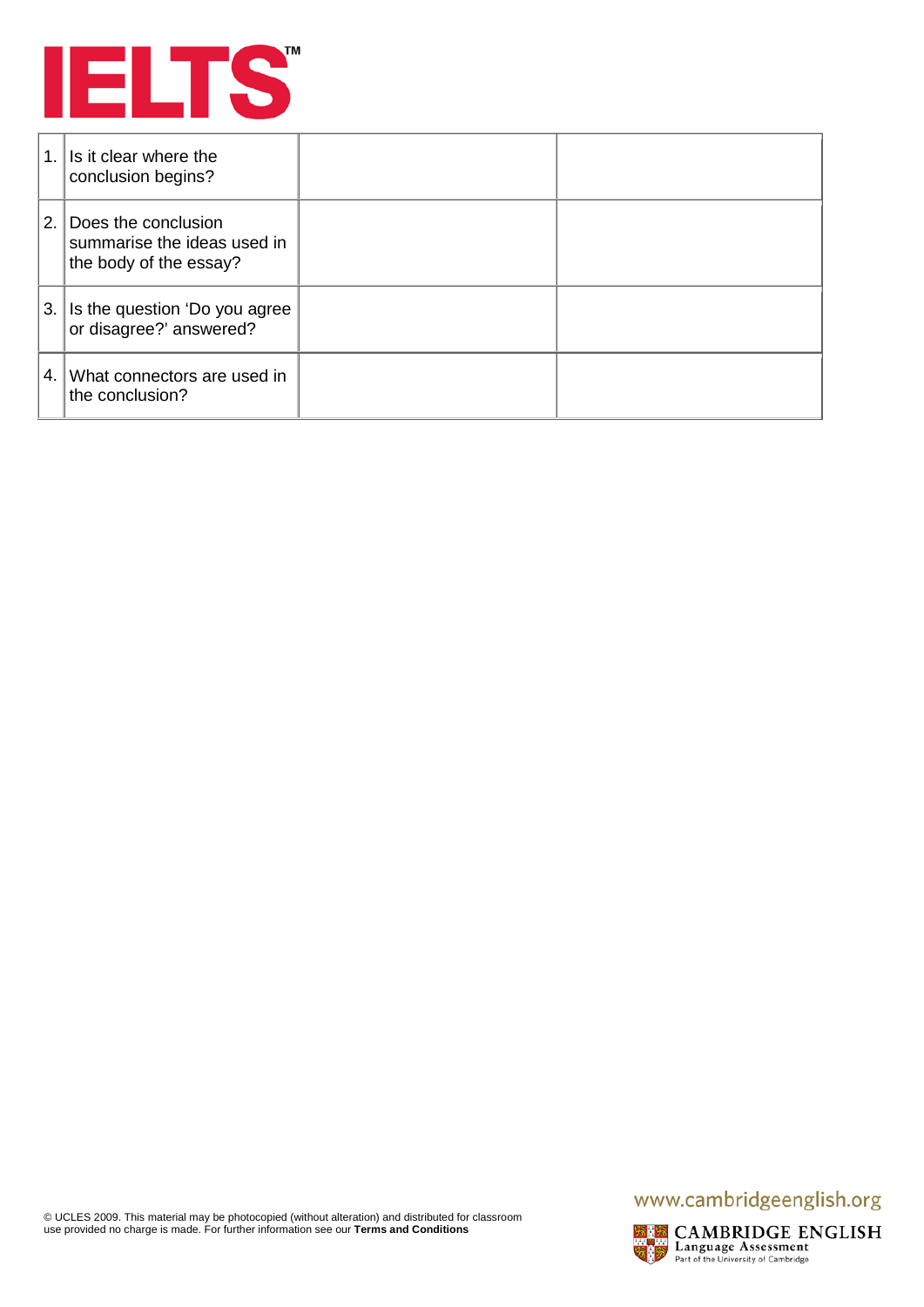

| 1. | Is it clear where the<br>conclusion begins?                                  |  |
|----|------------------------------------------------------------------------------|--|
| 2. | Does the conclusion<br>summarise the ideas used in<br>the body of the essay? |  |
| 3. | Is the question 'Do you agree<br>or disagree?' answered?                     |  |
| 4. | What connectors are used in<br>the conclusion?                               |  |

## www.cambridgeenglish.org



**EXPRESS CAMBRIDGE ENGLISH**<br>Language Assessment<br>Reflect of the University of Cambridge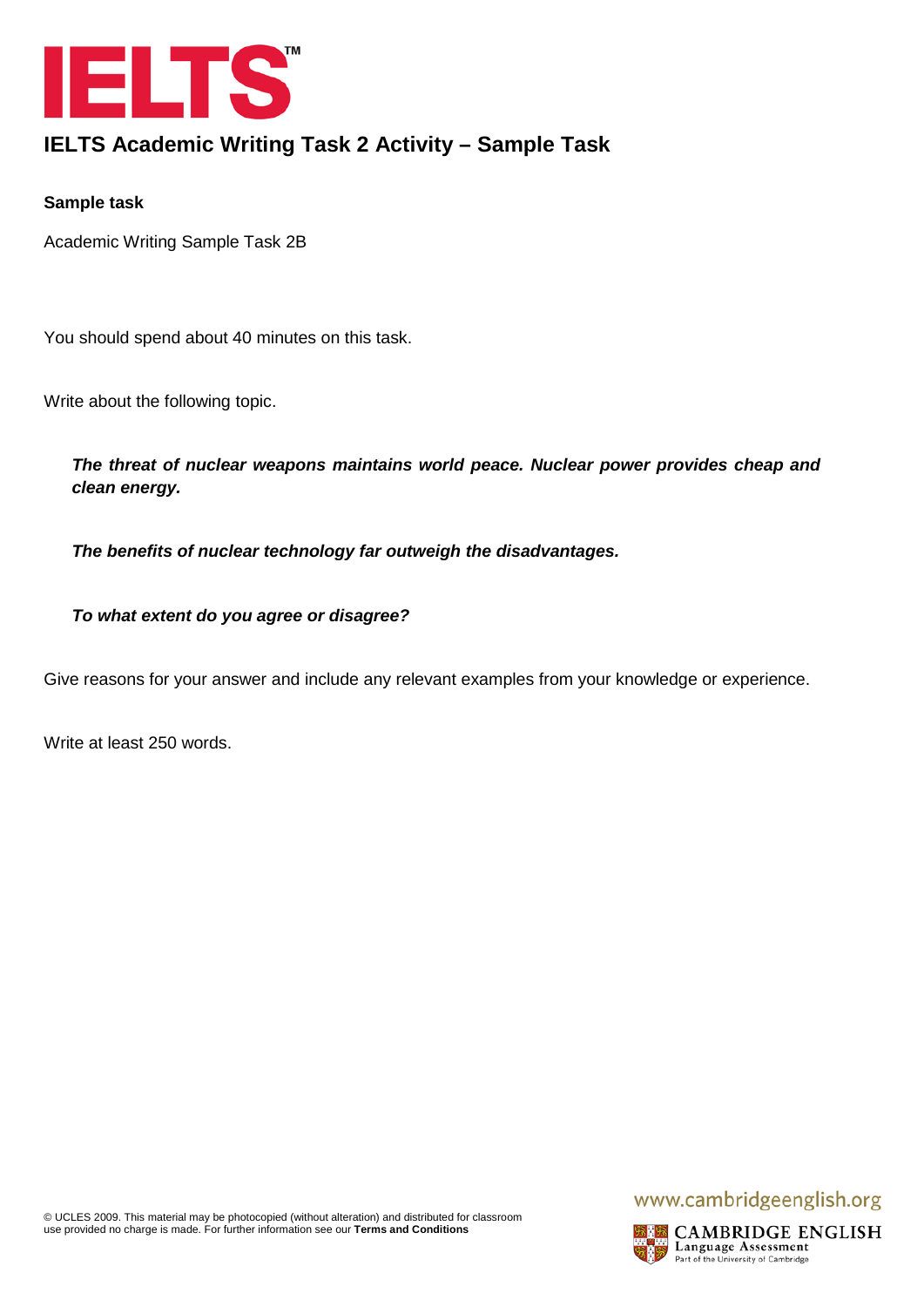

## **IELTS Academic Writing Task 2 Activity – Sample Task**

#### **Sample task**

Academic Writing Sample Task 2B

You should spend about 40 minutes on this task.

Write about the following topic.

*The threat of nuclear weapons maintains world peace. Nuclear power provides cheap and clean energy.*

*The benefits of nuclear technology far outweigh the disadvantages.*

*To what extent do you agree or disagree?*

Give reasons for your answer and include any relevant examples from your knowledge or experience.

Write at least 250 words.

## www.cambridgeenglish.org

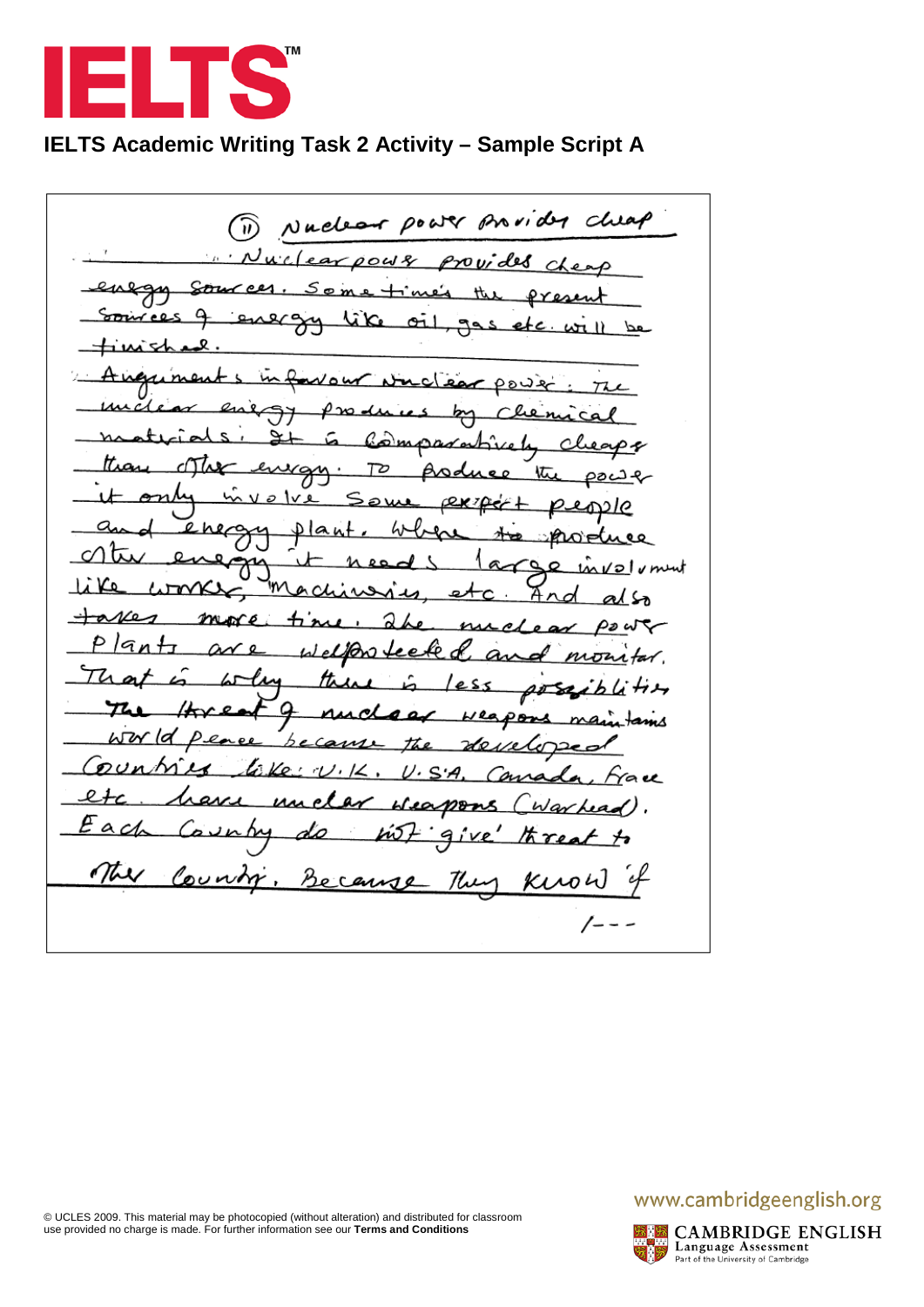

# **IELTS Academic Writing Task 2 Activity – Sample Script A**

provider cluep Nuel (බ) Do 6  $\cdots$  Nucle ar  $0048$ provides Strud <u>S o</u> Pres ۵ Source محا ᇫ لمختمعة wour ات.  $\sim$  power The Քա ر ہے w amparahie عنص جە ttia eurgy. 72 Asd 忱 oac ont <u>o |v e</u> <u>expe</u> อน Ιe a  $lant$ ിസൈല ୧୧ ہ  $\circ$ ment  $1012$ m ᠕᠊᠇᠌ᠬ  $\alpha$ And C т ₩b ລ مە  $\overline{\mathcal{A}}$  . Pø P lq <u>elfôn fee</u> cł nwa Th the oose r nss <u>ol</u> Ø pons  $\omega \propto$ ld becam en Ao Mex  $\mathcal{D}U$ Ko '  $\mathcal{L}$  $U\cdot S\cdot A$ Carra *Ya*u ィ evi un el av <u>Heapons</u> <u>Warhea</u>  $ac$ Þ М <u>hí5</u> 9 חוב The County Because Kirow They /---

## www.cambridgeenglish.org

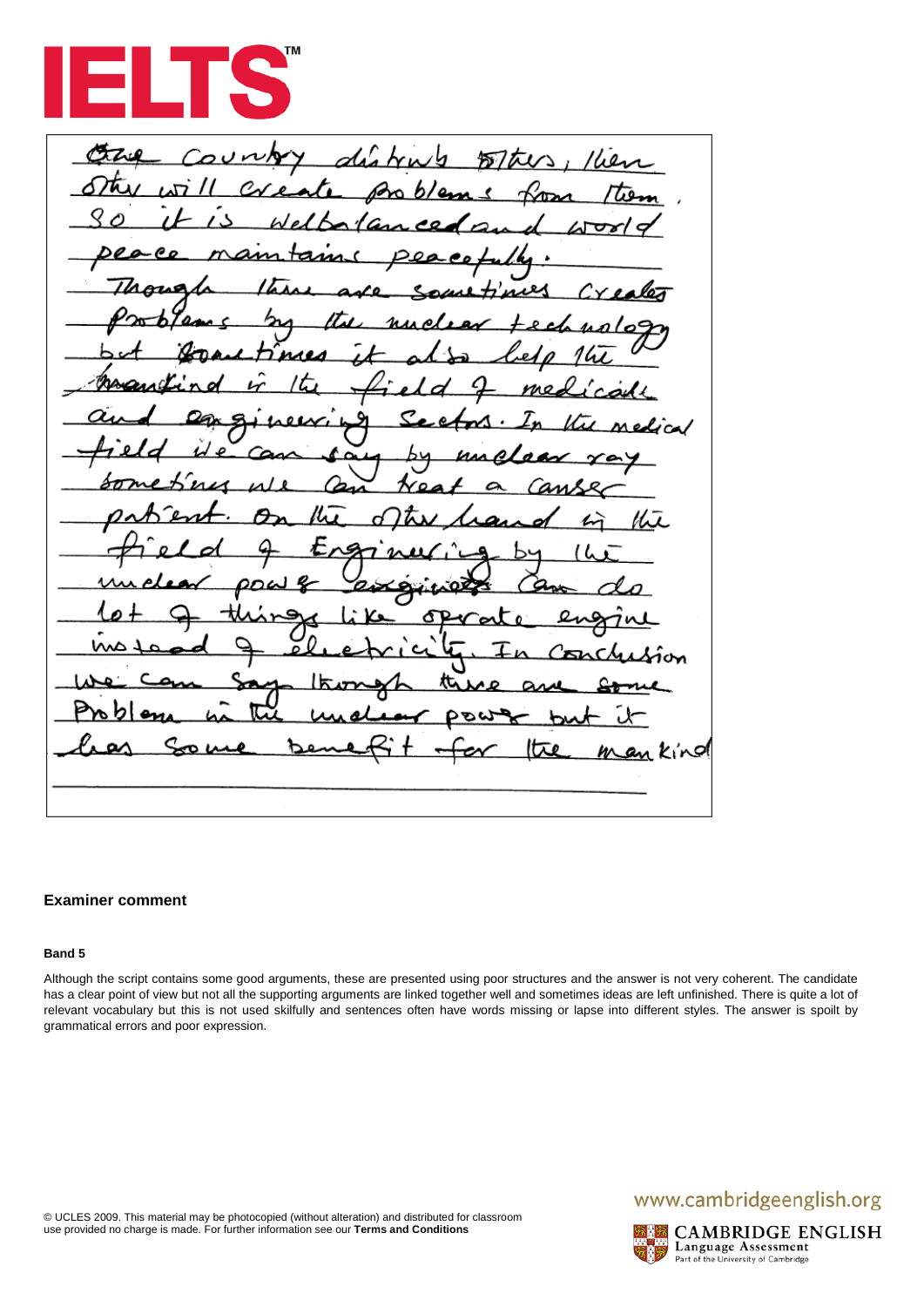

Œ dia Kien  $k_{\mu}/h$  $57$ tus t. Æ בא と n in king

#### **Examiner comment**

#### **Band 5**

Although the script contains some good arguments, these are presented using poor structures and the answer is not very coherent. The candidate has a clear point of view but not all the supporting arguments are linked together well and sometimes ideas are left unfinished. There is quite a lot of relevant vocabulary but this is not used skilfully and sentences often have words missing or lapse into different styles. The answer is spoilt by grammatical errors and poor expression.

## www.cambridgeenglish.org

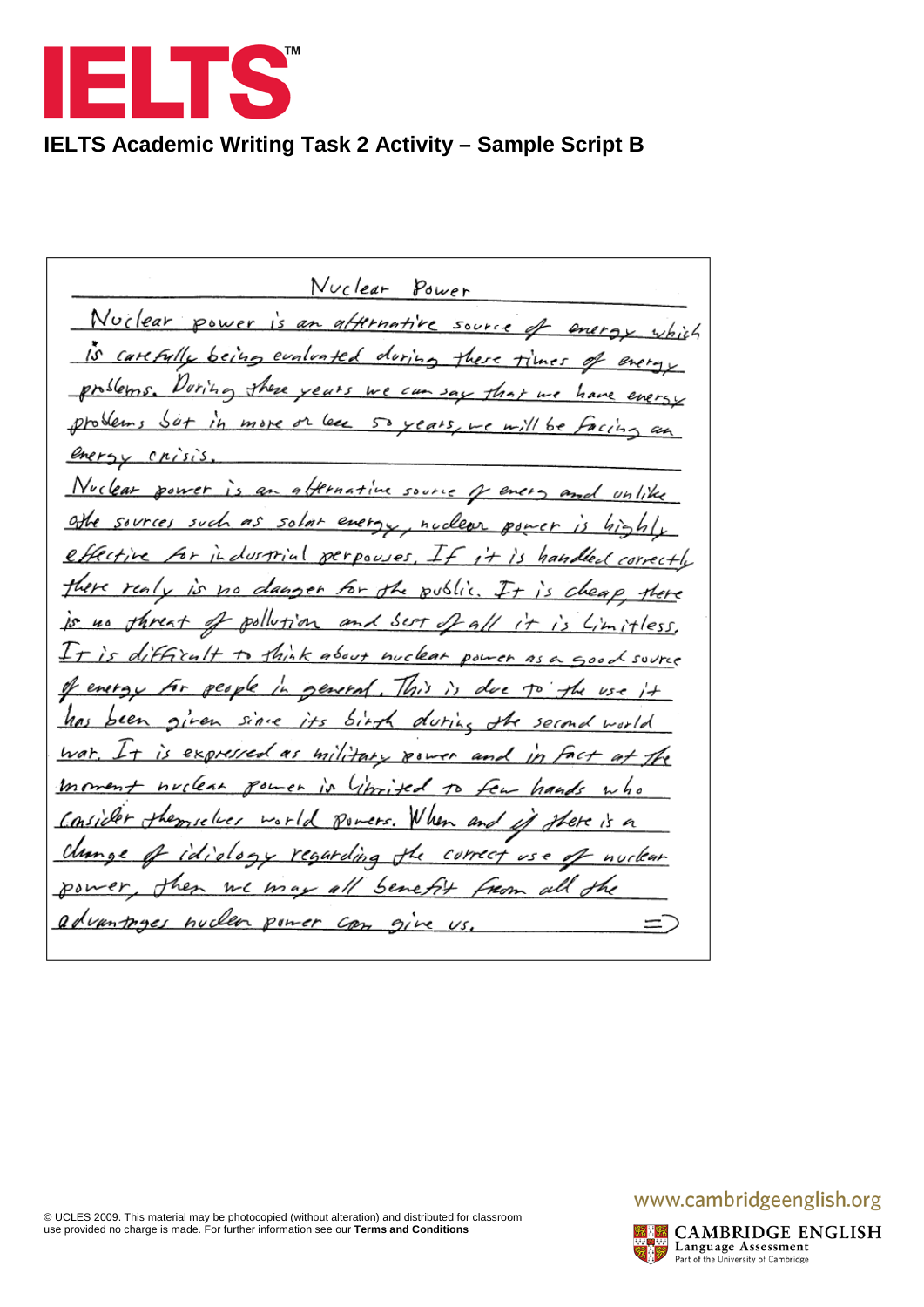

# **IELTS Academic Writing Task 2 Activity – Sample Script B**

Nuclear Power Nuclear power an affernative  $\mathbf{r}$ source Carl Full evaluated doring  $p$ nslems  $\nu_{\nu}$ these  $Cum$   $3au$ years  $b$ e  $H_{16}$  $64$ more or less  $\dot{h}$ 50  $L \in \mu / l$  be years energy crisis lear affernative power source oН every such solar nuclear  $\ell$ 4 r perpowes lustrial handle carvectl. for the danger public u. Ö٥  $200$ pollution ィイ and sert a ls tless. Fficult I, k about nuclear  $\tau$ C source  $H_{\mu\nu}$ peo ьk general enera  $\iota$ s-e  $5177$ ha since j+s duri second world  $w$ at expressed military power and  $l_{\ell m}$  $\mathbf{m}$ ^^ ヵ W her  $\mathcal{P}$ u مما م ers. oloe regarding correct ч nurlear  $\mathscr{C}$ se all Sene  $\nu\epsilon$ m advantages nuclea Can power give Ξ.

## www.cambridgeenglish.org